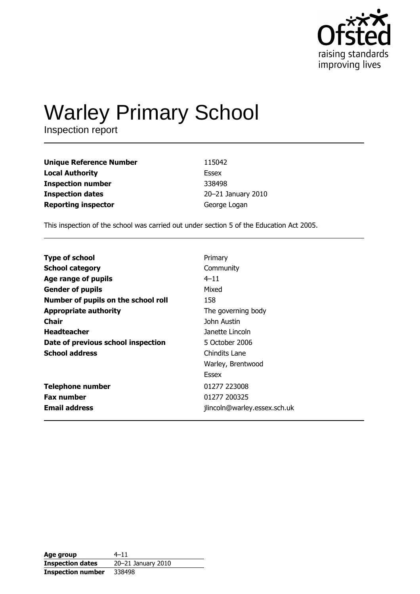

# **Warley Primary School**

Inspection report

| <b>Unique Reference Number</b> | 115042             |
|--------------------------------|--------------------|
| <b>Local Authority</b>         | Essex              |
| <b>Inspection number</b>       | 338498             |
| <b>Inspection dates</b>        | 20-21 January 2010 |
| <b>Reporting inspector</b>     | George Logan       |

This inspection of the school was carried out under section 5 of the Education Act 2005.

| Primary                      |
|------------------------------|
| Community                    |
| $4 - 11$                     |
| Mixed                        |
| 158                          |
| The governing body           |
| John Austin                  |
| Janette Lincoln              |
| 5 October 2006               |
| Chindits Lane                |
| Warley, Brentwood            |
| Essex                        |
| 01277 223008                 |
| 01277 200325                 |
| jlincoln@warley.essex.sch.uk |
|                              |

| Age group                | $4 - 11$           |
|--------------------------|--------------------|
| <b>Inspection dates</b>  | 20-21 January 2010 |
| <b>Inspection number</b> | 338498             |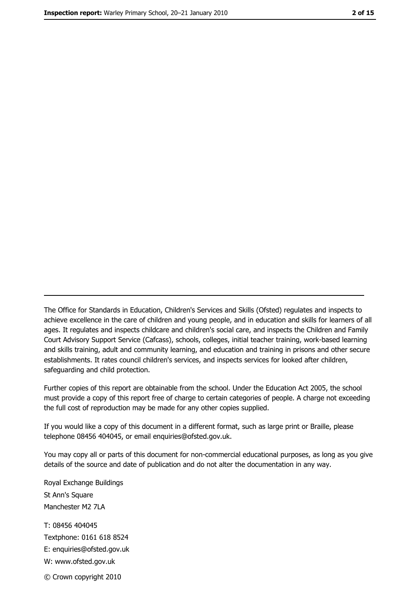The Office for Standards in Education, Children's Services and Skills (Ofsted) regulates and inspects to achieve excellence in the care of children and young people, and in education and skills for learners of all ages. It regulates and inspects childcare and children's social care, and inspects the Children and Family Court Advisory Support Service (Cafcass), schools, colleges, initial teacher training, work-based learning and skills training, adult and community learning, and education and training in prisons and other secure establishments. It rates council children's services, and inspects services for looked after children, safequarding and child protection.

Further copies of this report are obtainable from the school. Under the Education Act 2005, the school must provide a copy of this report free of charge to certain categories of people. A charge not exceeding the full cost of reproduction may be made for any other copies supplied.

If you would like a copy of this document in a different format, such as large print or Braille, please telephone 08456 404045, or email enquiries@ofsted.gov.uk.

You may copy all or parts of this document for non-commercial educational purposes, as long as you give details of the source and date of publication and do not alter the documentation in any way.

Royal Exchange Buildings St Ann's Square Manchester M2 7LA T: 08456 404045 Textphone: 0161 618 8524 E: enquiries@ofsted.gov.uk W: www.ofsted.gov.uk © Crown copyright 2010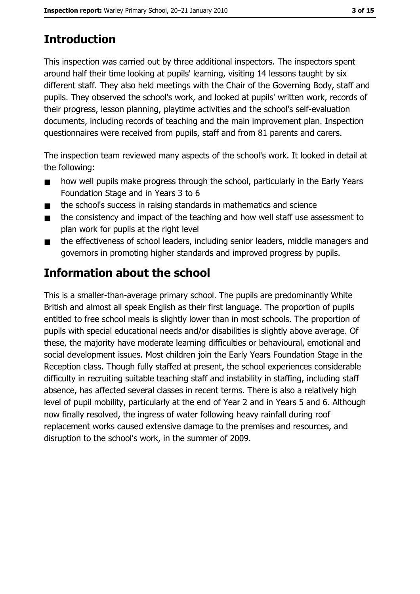# **Introduction**

This inspection was carried out by three additional inspectors. The inspectors spent around half their time looking at pupils' learning, visiting 14 lessons taught by six different staff. They also held meetings with the Chair of the Governing Body, staff and pupils. They observed the school's work, and looked at pupils' written work, records of their progress, lesson planning, playtime activities and the school's self-evaluation documents, including records of teaching and the main improvement plan. Inspection questionnaires were received from pupils, staff and from 81 parents and carers.

The inspection team reviewed many aspects of the school's work. It looked in detail at the following:

- how well pupils make progress through the school, particularly in the Early Years  $\blacksquare$ Foundation Stage and in Years 3 to 6
- the school's success in raising standards in mathematics and science  $\blacksquare$
- the consistency and impact of the teaching and how well staff use assessment to  $\blacksquare$ plan work for pupils at the right level
- the effectiveness of school leaders, including senior leaders, middle managers and  $\blacksquare$ governors in promoting higher standards and improved progress by pupils.

# Information about the school

This is a smaller-than-average primary school. The pupils are predominantly White British and almost all speak English as their first language. The proportion of pupils entitled to free school meals is slightly lower than in most schools. The proportion of pupils with special educational needs and/or disabilities is slightly above average. Of these, the majority have moderate learning difficulties or behavioural, emotional and social development issues. Most children join the Early Years Foundation Stage in the Reception class. Though fully staffed at present, the school experiences considerable difficulty in recruiting suitable teaching staff and instability in staffing, including staff absence, has affected several classes in recent terms. There is also a relatively high level of pupil mobility, particularly at the end of Year 2 and in Years 5 and 6. Although now finally resolved, the ingress of water following heavy rainfall during roof replacement works caused extensive damage to the premises and resources, and disruption to the school's work, in the summer of 2009.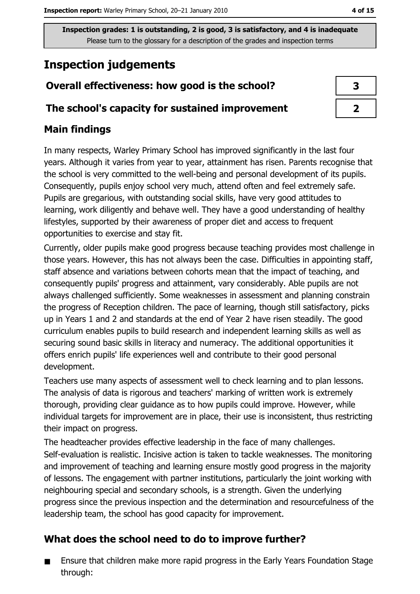# **Inspection judgements**

# Overall effectiveness: how good is the school?

### The school's capacity for sustained improvement

### **Main findings**

In many respects, Warley Primary School has improved significantly in the last four years. Although it varies from year to year, attainment has risen. Parents recognise that the school is very committed to the well-being and personal development of its pupils. Consequently, pupils enjoy school very much, attend often and feel extremely safe. Pupils are gregarious, with outstanding social skills, have very good attitudes to learning, work diligently and behave well. They have a good understanding of healthy lifestyles, supported by their awareness of proper diet and access to frequent opportunities to exercise and stay fit.

Currently, older pupils make good progress because teaching provides most challenge in those years. However, this has not always been the case. Difficulties in appointing staff, staff absence and variations between cohorts mean that the impact of teaching, and consequently pupils' progress and attainment, vary considerably. Able pupils are not always challenged sufficiently. Some weaknesses in assessment and planning constrain the progress of Reception children. The pace of learning, though still satisfactory, picks up in Years 1 and 2 and standards at the end of Year 2 have risen steadily. The good curriculum enables pupils to build research and independent learning skills as well as securing sound basic skills in literacy and numeracy. The additional opportunities it offers enrich pupils' life experiences well and contribute to their good personal development.

Teachers use many aspects of assessment well to check learning and to plan lessons. The analysis of data is rigorous and teachers' marking of written work is extremely thorough, providing clear guidance as to how pupils could improve. However, while individual targets for improvement are in place, their use is inconsistent, thus restricting their impact on progress.

The headteacher provides effective leadership in the face of many challenges. Self-evaluation is realistic. Incisive action is taken to tackle weaknesses. The monitoring and improvement of teaching and learning ensure mostly good progress in the majority of lessons. The engagement with partner institutions, particularly the joint working with neighbouring special and secondary schools, is a strength. Given the underlying progress since the previous inspection and the determination and resourcefulness of the leadership team, the school has good capacity for improvement.

## What does the school need to do to improve further?

Ensure that children make more rapid progress in the Early Years Foundation Stage through:

 $\overline{2}$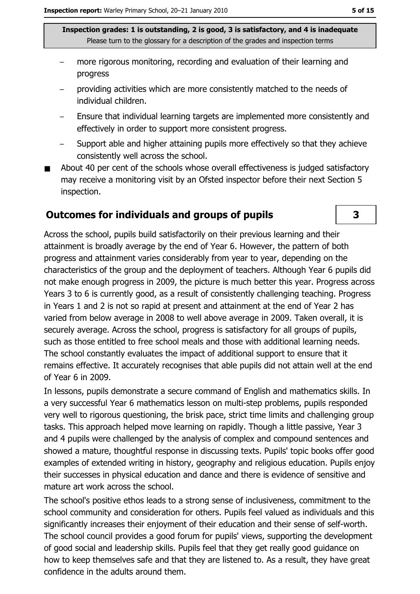- more rigorous monitoring, recording and evaluation of their learning and progress
- providing activities which are more consistently matched to the needs of individual children.
- Ensure that individual learning targets are implemented more consistently and effectively in order to support more consistent progress.
- Support able and higher attaining pupils more effectively so that they achieve consistently well across the school.
- About 40 per cent of the schools whose overall effectiveness is judged satisfactory may receive a monitoring visit by an Ofsted inspector before their next Section 5 inspection.

### **Outcomes for individuals and groups of pupils**

Across the school, pupils build satisfactorily on their previous learning and their attainment is broadly average by the end of Year 6. However, the pattern of both progress and attainment varies considerably from year to year, depending on the characteristics of the group and the deployment of teachers. Although Year 6 pupils did not make enough progress in 2009, the picture is much better this year. Progress across Years 3 to 6 is currently good, as a result of consistently challenging teaching. Progress in Years 1 and 2 is not so rapid at present and attainment at the end of Year 2 has varied from below average in 2008 to well above average in 2009. Taken overall, it is securely average. Across the school, progress is satisfactory for all groups of pupils, such as those entitled to free school meals and those with additional learning needs. The school constantly evaluates the impact of additional support to ensure that it remains effective. It accurately recognises that able pupils did not attain well at the end of Year 6 in 2009.

In lessons, pupils demonstrate a secure command of English and mathematics skills. In a very successful Year 6 mathematics lesson on multi-step problems, pupils responded very well to rigorous questioning, the brisk pace, strict time limits and challenging group tasks. This approach helped move learning on rapidly. Though a little passive, Year 3 and 4 pupils were challenged by the analysis of complex and compound sentences and showed a mature, thoughtful response in discussing texts. Pupils' topic books offer good examples of extended writing in history, geography and religious education. Pupils enjoy their successes in physical education and dance and there is evidence of sensitive and mature art work across the school.

The school's positive ethos leads to a strong sense of inclusiveness, commitment to the school community and consideration for others. Pupils feel valued as individuals and this significantly increases their enjoyment of their education and their sense of self-worth. The school council provides a good forum for pupils' views, supporting the development of good social and leadership skills. Pupils feel that they get really good guidance on how to keep themselves safe and that they are listened to. As a result, they have great confidence in the adults around them.

3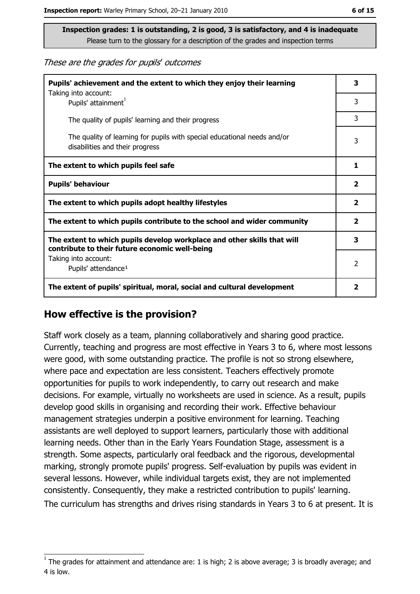These are the grades for pupils' outcomes

| Pupils' achievement and the extent to which they enjoy their learning                                                     |   |
|---------------------------------------------------------------------------------------------------------------------------|---|
| Taking into account:<br>Pupils' attainment <sup>1</sup>                                                                   | 3 |
| The quality of pupils' learning and their progress                                                                        | 3 |
| The quality of learning for pupils with special educational needs and/or<br>disabilities and their progress               | 3 |
| The extent to which pupils feel safe                                                                                      |   |
| <b>Pupils' behaviour</b>                                                                                                  |   |
| The extent to which pupils adopt healthy lifestyles                                                                       |   |
| The extent to which pupils contribute to the school and wider community                                                   |   |
| The extent to which pupils develop workplace and other skills that will<br>contribute to their future economic well-being |   |
| Taking into account:<br>Pupils' attendance <sup>1</sup>                                                                   |   |
| The extent of pupils' spiritual, moral, social and cultural development                                                   |   |

#### How effective is the provision?

Staff work closely as a team, planning collaboratively and sharing good practice. Currently, teaching and progress are most effective in Years 3 to 6, where most lessons were good, with some outstanding practice. The profile is not so strong elsewhere, where pace and expectation are less consistent. Teachers effectively promote opportunities for pupils to work independently, to carry out research and make decisions. For example, virtually no worksheets are used in science. As a result, pupils develop good skills in organising and recording their work. Effective behaviour management strategies underpin a positive environment for learning. Teaching assistants are well deployed to support learners, particularly those with additional learning needs. Other than in the Early Years Foundation Stage, assessment is a strength. Some aspects, particularly oral feedback and the rigorous, developmental marking, strongly promote pupils' progress. Self-evaluation by pupils was evident in several lessons. However, while individual targets exist, they are not implemented consistently. Consequently, they make a restricted contribution to pupils' learning. The curriculum has strengths and drives rising standards in Years 3 to 6 at present. It is

The grades for attainment and attendance are: 1 is high; 2 is above average; 3 is broadly average; and 4 is low.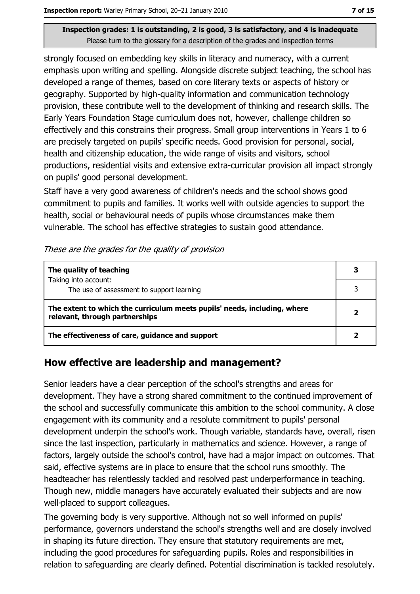strongly focused on embedding key skills in literacy and numeracy, with a current emphasis upon writing and spelling. Alongside discrete subject teaching, the school has developed a range of themes, based on core literary texts or aspects of history or geography. Supported by high-quality information and communication technology provision, these contribute well to the development of thinking and research skills. The Early Years Foundation Stage curriculum does not, however, challenge children so effectively and this constrains their progress. Small group interventions in Years 1 to 6 are precisely targeted on pupils' specific needs. Good provision for personal, social, health and citizenship education, the wide range of visits and visitors, school productions, residential visits and extensive extra-curricular provision all impact strongly on pupils' good personal development.

Staff have a very good awareness of children's needs and the school shows good commitment to pupils and families. It works well with outside agencies to support the health, social or behavioural needs of pupils whose circumstances make them vulnerable. The school has effective strategies to sustain good attendance.

#### These are the grades for the quality of provision

| The quality of teaching                                                                                    |  |
|------------------------------------------------------------------------------------------------------------|--|
| Taking into account:<br>The use of assessment to support learning                                          |  |
| The extent to which the curriculum meets pupils' needs, including, where<br>relevant, through partnerships |  |
| The effectiveness of care, guidance and support                                                            |  |

### How effective are leadership and management?

Senior leaders have a clear perception of the school's strengths and areas for development. They have a strong shared commitment to the continued improvement of the school and successfully communicate this ambition to the school community. A close engagement with its community and a resolute commitment to pupils' personal development underpin the school's work. Though variable, standards have, overall, risen since the last inspection, particularly in mathematics and science. However, a range of factors, largely outside the school's control, have had a major impact on outcomes. That said, effective systems are in place to ensure that the school runs smoothly. The headteacher has relentlessly tackled and resolved past underperformance in teaching. Though new, middle managers have accurately evaluated their subjects and are now well-placed to support colleagues.

The governing body is very supportive. Although not so well informed on pupils' performance, governors understand the school's strengths well and are closely involved in shaping its future direction. They ensure that statutory requirements are met, including the good procedures for safeguarding pupils. Roles and responsibilities in relation to safequarding are clearly defined. Potential discrimination is tackled resolutely.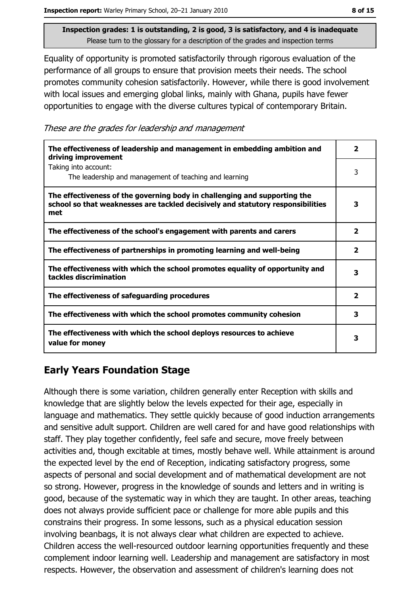Equality of opportunity is promoted satisfactorily through rigorous evaluation of the performance of all groups to ensure that provision meets their needs. The school promotes community cohesion satisfactorily. However, while there is good involvement with local issues and emerging global links, mainly with Ghana, pupils have fewer opportunities to engage with the diverse cultures typical of contemporary Britain.

These are the grades for leadership and management

| The effectiveness of leadership and management in embedding ambition and<br>driving improvement                                                                     | 2                       |
|---------------------------------------------------------------------------------------------------------------------------------------------------------------------|-------------------------|
| Taking into account:<br>The leadership and management of teaching and learning                                                                                      | 3                       |
| The effectiveness of the governing body in challenging and supporting the<br>school so that weaknesses are tackled decisively and statutory responsibilities<br>met | 3                       |
| The effectiveness of the school's engagement with parents and carers                                                                                                | $\overline{\mathbf{2}}$ |
| The effectiveness of partnerships in promoting learning and well-being                                                                                              | 2                       |
| The effectiveness with which the school promotes equality of opportunity and<br>tackles discrimination                                                              | 3                       |
| The effectiveness of safeguarding procedures                                                                                                                        | $\overline{\mathbf{2}}$ |
| The effectiveness with which the school promotes community cohesion                                                                                                 | 3                       |
| The effectiveness with which the school deploys resources to achieve<br>value for money                                                                             | 3                       |

# **Early Years Foundation Stage**

Although there is some variation, children generally enter Reception with skills and knowledge that are slightly below the levels expected for their age, especially in language and mathematics. They settle quickly because of good induction arrangements and sensitive adult support. Children are well cared for and have good relationships with staff. They play together confidently, feel safe and secure, move freely between activities and, though excitable at times, mostly behave well. While attainment is around the expected level by the end of Reception, indicating satisfactory progress, some aspects of personal and social development and of mathematical development are not so strong. However, progress in the knowledge of sounds and letters and in writing is good, because of the systematic way in which they are taught. In other areas, teaching does not always provide sufficient pace or challenge for more able pupils and this constrains their progress. In some lessons, such as a physical education session involving beanbags, it is not always clear what children are expected to achieve. Children access the well-resourced outdoor learning opportunities frequently and these complement indoor learning well. Leadership and management are satisfactory in most respects. However, the observation and assessment of children's learning does not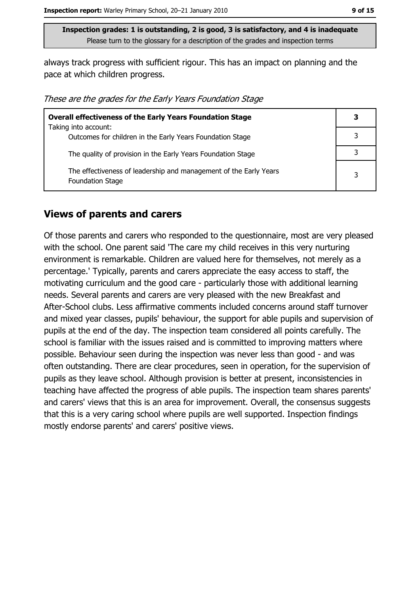always track progress with sufficient rigour. This has an impact on planning and the pace at which children progress.

These are the grades for the Early Years Foundation Stage

| <b>Overall effectiveness of the Early Years Foundation Stage</b>                             |   |
|----------------------------------------------------------------------------------------------|---|
| Taking into account:                                                                         |   |
| Outcomes for children in the Early Years Foundation Stage                                    |   |
| The quality of provision in the Early Years Foundation Stage                                 |   |
| The effectiveness of leadership and management of the Early Years<br><b>Foundation Stage</b> | 3 |

#### **Views of parents and carers**

Of those parents and carers who responded to the questionnaire, most are very pleased with the school. One parent said 'The care my child receives in this very nurturing environment is remarkable. Children are valued here for themselves, not merely as a percentage.' Typically, parents and carers appreciate the easy access to staff, the motivating curriculum and the good care - particularly those with additional learning needs. Several parents and carers are very pleased with the new Breakfast and After-School clubs. Less affirmative comments included concerns around staff turnover and mixed year classes, pupils' behaviour, the support for able pupils and supervision of pupils at the end of the day. The inspection team considered all points carefully. The school is familiar with the issues raised and is committed to improving matters where possible. Behaviour seen during the inspection was never less than good - and was often outstanding. There are clear procedures, seen in operation, for the supervision of pupils as they leave school. Although provision is better at present, inconsistencies in teaching have affected the progress of able pupils. The inspection team shares parents' and carers' views that this is an area for improvement. Overall, the consensus suggests that this is a very caring school where pupils are well supported. Inspection findings mostly endorse parents' and carers' positive views.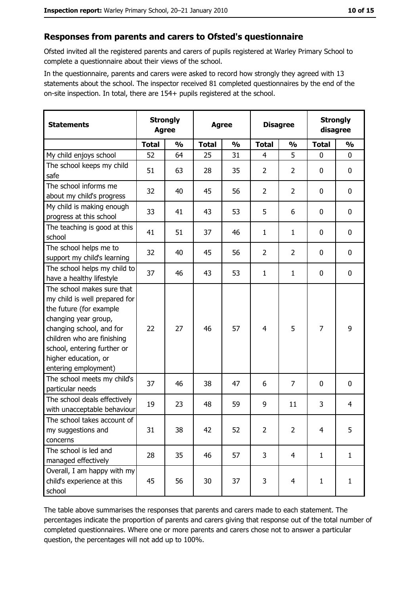#### Responses from parents and carers to Ofsted's questionnaire

Ofsted invited all the registered parents and carers of pupils registered at Warley Primary School to complete a questionnaire about their views of the school.

In the questionnaire, parents and carers were asked to record how strongly they agreed with 13 statements about the school. The inspector received 81 completed questionnaires by the end of the on-site inspection. In total, there are 154+ pupils registered at the school.

| <b>Statements</b>                                                                                                                                                                                                                                       | <b>Strongly</b><br><b>Agree</b> |               | <b>Agree</b> |               |                | <b>Disagree</b> |              | <b>Strongly</b><br>disagree |  |
|---------------------------------------------------------------------------------------------------------------------------------------------------------------------------------------------------------------------------------------------------------|---------------------------------|---------------|--------------|---------------|----------------|-----------------|--------------|-----------------------------|--|
|                                                                                                                                                                                                                                                         | <b>Total</b>                    | $\frac{1}{2}$ | <b>Total</b> | $\frac{0}{0}$ | <b>Total</b>   | $\frac{1}{2}$   | <b>Total</b> | $\frac{1}{2}$               |  |
| My child enjoys school                                                                                                                                                                                                                                  | 52                              | 64            | 25           | 31            | $\overline{4}$ | 5               | 0            | $\mathbf 0$                 |  |
| The school keeps my child<br>safe                                                                                                                                                                                                                       | 51                              | 63            | 28           | 35            | $\overline{2}$ | $\overline{2}$  | 0            | 0                           |  |
| The school informs me<br>about my child's progress                                                                                                                                                                                                      | 32                              | 40            | 45           | 56            | $\overline{2}$ | $\overline{2}$  | 0            | $\mathbf 0$                 |  |
| My child is making enough<br>progress at this school                                                                                                                                                                                                    | 33                              | 41            | 43           | 53            | 5              | 6               | 0            | 0                           |  |
| The teaching is good at this<br>school                                                                                                                                                                                                                  | 41                              | 51            | 37           | 46            | $\mathbf{1}$   | $\mathbf{1}$    | 0            | $\mathbf 0$                 |  |
| The school helps me to<br>support my child's learning                                                                                                                                                                                                   | 32                              | 40            | 45           | 56            | $\overline{2}$ | $\overline{2}$  | 0            | $\mathbf 0$                 |  |
| The school helps my child to<br>have a healthy lifestyle                                                                                                                                                                                                | 37                              | 46            | 43           | 53            | $\mathbf{1}$   | 1               | 0            | 0                           |  |
| The school makes sure that<br>my child is well prepared for<br>the future (for example<br>changing year group,<br>changing school, and for<br>children who are finishing<br>school, entering further or<br>higher education, or<br>entering employment) | 22                              | 27            | 46           | 57            | $\overline{4}$ | 5               | 7            | 9                           |  |
| The school meets my child's<br>particular needs                                                                                                                                                                                                         | 37                              | 46            | 38           | 47            | 6              | $\overline{7}$  | 0            | $\mathbf 0$                 |  |
| The school deals effectively<br>with unacceptable behaviour                                                                                                                                                                                             | 19                              | 23            | 48           | 59            | 9              | 11              | 3            | 4                           |  |
| The school takes account of<br>my suggestions and<br>concerns                                                                                                                                                                                           | 31                              | 38            | 42           | 52            | $\overline{2}$ | $\overline{2}$  | 4            | 5                           |  |
| The school is led and<br>managed effectively                                                                                                                                                                                                            | 28                              | 35            | 46           | 57            | 3              | $\overline{4}$  | $\mathbf{1}$ | $\mathbf{1}$                |  |
| Overall, I am happy with my<br>child's experience at this<br>school                                                                                                                                                                                     | 45                              | 56            | 30           | 37            | 3              | $\overline{4}$  | $\mathbf{1}$ | $\mathbf{1}$                |  |

The table above summarises the responses that parents and carers made to each statement. The percentages indicate the proportion of parents and carers giving that response out of the total number of completed questionnaires. Where one or more parents and carers chose not to answer a particular question, the percentages will not add up to 100%.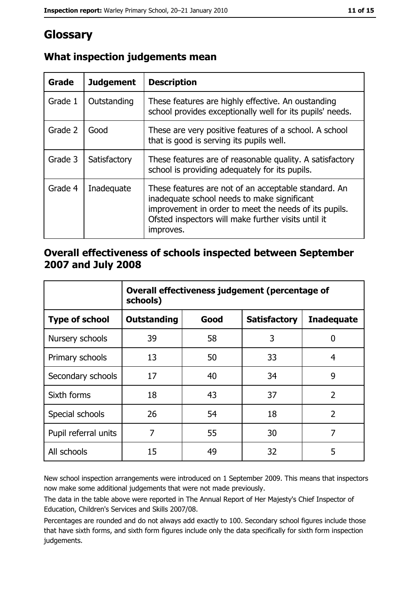# Glossary

| Grade   | <b>Judgement</b> | <b>Description</b>                                                                                                                                                                                                               |  |
|---------|------------------|----------------------------------------------------------------------------------------------------------------------------------------------------------------------------------------------------------------------------------|--|
| Grade 1 | Outstanding      | These features are highly effective. An oustanding<br>school provides exceptionally well for its pupils' needs.                                                                                                                  |  |
| Grade 2 | Good             | These are very positive features of a school. A school<br>that is good is serving its pupils well.                                                                                                                               |  |
| Grade 3 | Satisfactory     | These features are of reasonable quality. A satisfactory<br>school is providing adequately for its pupils.                                                                                                                       |  |
| Grade 4 | Inadequate       | These features are not of an acceptable standard. An<br>inadequate school needs to make significant<br>improvement in order to meet the needs of its pupils.<br>Ofsted inspectors will make further visits until it<br>improves. |  |

# What inspection judgements mean

### Overall effectiveness of schools inspected between September 2007 and July 2008

|                       | Overall effectiveness judgement (percentage of<br>schools) |      |                     |                   |
|-----------------------|------------------------------------------------------------|------|---------------------|-------------------|
| <b>Type of school</b> | <b>Outstanding</b>                                         | Good | <b>Satisfactory</b> | <b>Inadequate</b> |
| Nursery schools       | 39                                                         | 58   | 3                   | 0                 |
| Primary schools       | 13                                                         | 50   | 33                  | 4                 |
| Secondary schools     | 17                                                         | 40   | 34                  | 9                 |
| Sixth forms           | 18                                                         | 43   | 37                  | $\overline{2}$    |
| Special schools       | 26                                                         | 54   | 18                  | $\overline{2}$    |
| Pupil referral units  | 7                                                          | 55   | 30                  | 7                 |
| All schools           | 15                                                         | 49   | 32                  | 5                 |

New school inspection arrangements were introduced on 1 September 2009. This means that inspectors now make some additional judgements that were not made previously.

The data in the table above were reported in The Annual Report of Her Majesty's Chief Inspector of Education, Children's Services and Skills 2007/08.

Percentages are rounded and do not always add exactly to 100. Secondary school figures include those that have sixth forms, and sixth form figures include only the data specifically for sixth form inspection judgements.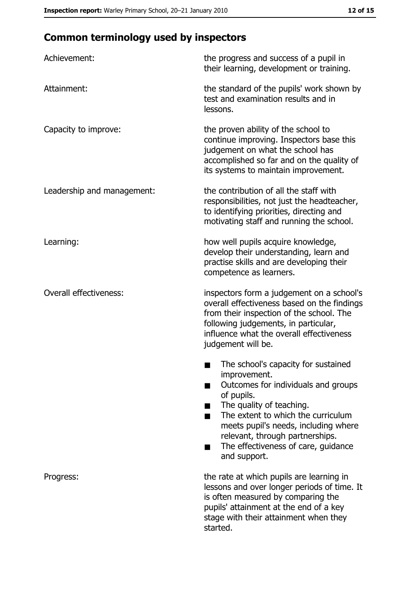# **Common terminology used by inspectors**

| Achievement:                  | the progress and success of a pupil in<br>their learning, development or training.                                                                                                                                                                                                                           |
|-------------------------------|--------------------------------------------------------------------------------------------------------------------------------------------------------------------------------------------------------------------------------------------------------------------------------------------------------------|
| Attainment:                   | the standard of the pupils' work shown by<br>test and examination results and in<br>lessons.                                                                                                                                                                                                                 |
| Capacity to improve:          | the proven ability of the school to<br>continue improving. Inspectors base this<br>judgement on what the school has<br>accomplished so far and on the quality of<br>its systems to maintain improvement.                                                                                                     |
| Leadership and management:    | the contribution of all the staff with<br>responsibilities, not just the headteacher,<br>to identifying priorities, directing and<br>motivating staff and running the school.                                                                                                                                |
| Learning:                     | how well pupils acquire knowledge,<br>develop their understanding, learn and<br>practise skills and are developing their<br>competence as learners.                                                                                                                                                          |
| <b>Overall effectiveness:</b> | inspectors form a judgement on a school's<br>overall effectiveness based on the findings<br>from their inspection of the school. The<br>following judgements, in particular,<br>influence what the overall effectiveness<br>judgement will be.                                                               |
|                               | The school's capacity for sustained<br>improvement.<br>Outcomes for individuals and groups<br>of pupils.<br>The quality of teaching.<br>The extent to which the curriculum<br>meets pupil's needs, including where<br>relevant, through partnerships.<br>The effectiveness of care, guidance<br>and support. |
| Progress:                     | the rate at which pupils are learning in<br>lessons and over longer periods of time. It<br>is often measured by comparing the<br>pupils' attainment at the end of a key<br>stage with their attainment when they<br>started.                                                                                 |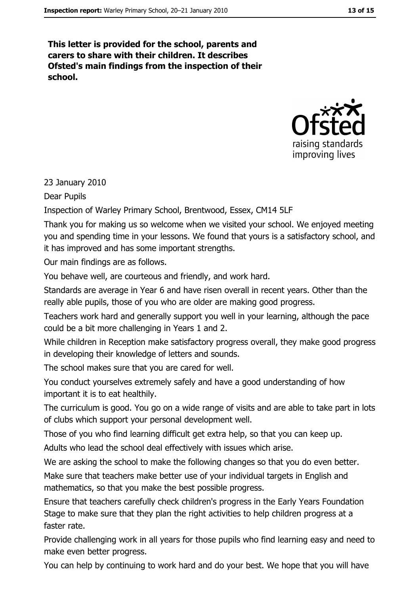This letter is provided for the school, parents and carers to share with their children. It describes Ofsted's main findings from the inspection of their school.



23 January 2010

**Dear Pupils** 

Inspection of Warley Primary School, Brentwood, Essex, CM14 5LF

Thank you for making us so welcome when we visited your school. We enjoyed meeting you and spending time in your lessons. We found that yours is a satisfactory school, and it has improved and has some important strengths.

Our main findings are as follows.

You behave well, are courteous and friendly, and work hard.

Standards are average in Year 6 and have risen overall in recent years. Other than the really able pupils, those of you who are older are making good progress.

Teachers work hard and generally support you well in your learning, although the pace could be a bit more challenging in Years 1 and 2.

While children in Reception make satisfactory progress overall, they make good progress in developing their knowledge of letters and sounds.

The school makes sure that you are cared for well.

You conduct yourselves extremely safely and have a good understanding of how important it is to eat healthily.

The curriculum is good. You go on a wide range of visits and are able to take part in lots of clubs which support your personal development well.

Those of you who find learning difficult get extra help, so that you can keep up.

Adults who lead the school deal effectively with issues which arise.

We are asking the school to make the following changes so that you do even better.

Make sure that teachers make better use of your individual targets in English and mathematics, so that you make the best possible progress.

Ensure that teachers carefully check children's progress in the Early Years Foundation Stage to make sure that they plan the right activities to help children progress at a faster rate.

Provide challenging work in all years for those pupils who find learning easy and need to make even better progress.

You can help by continuing to work hard and do your best. We hope that you will have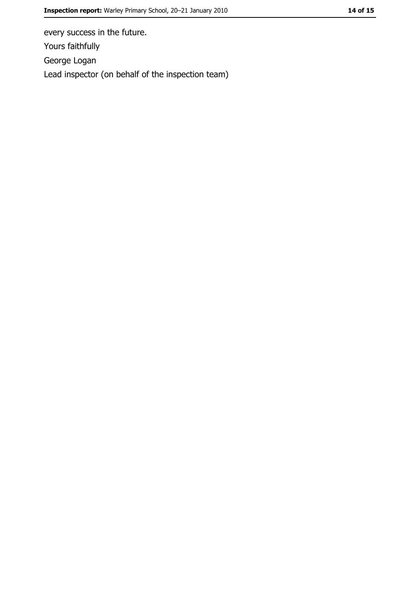every success in the future. Yours faithfully George Logan Lead inspector (on behalf of the inspection team)